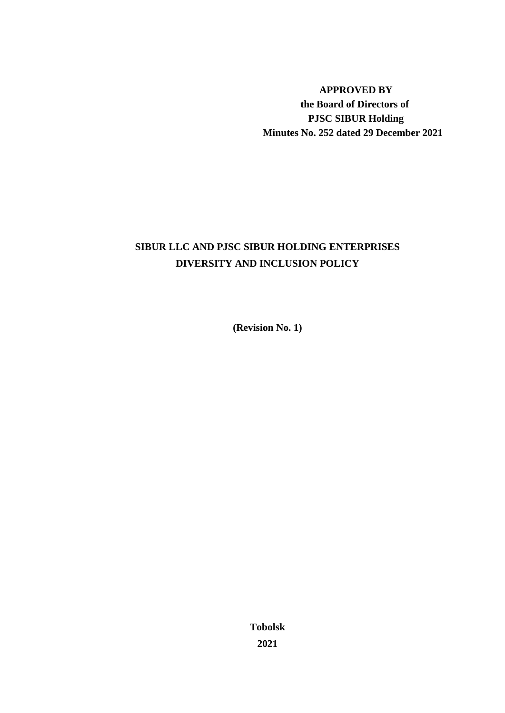**APPROVED BY the Board of Directors of PJSC SIBUR Holding Minutes No. 252 dated 29 December 2021** 

# **SIBUR LLC AND PJSC SIBUR HOLDING ENTERPRISES DIVERSITY AND INCLUSION POLICY**

**(Revision No. 1)**

**Tobolsk 2021**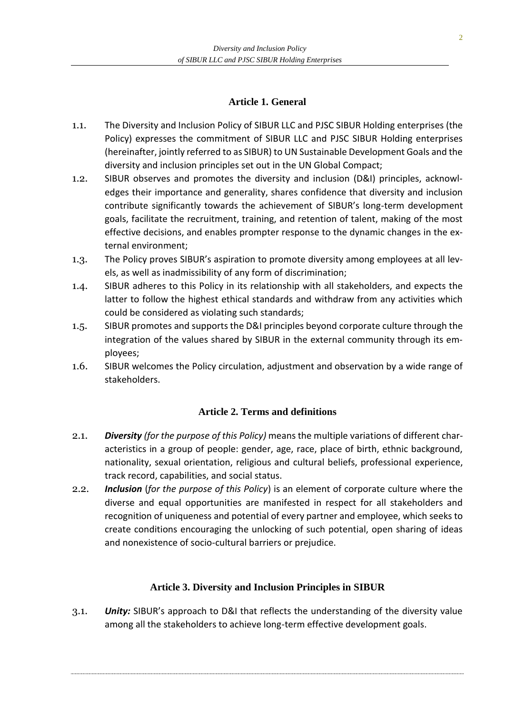### **Article 1. General**

- 1.1. The Diversity and Inclusion Policy of SIBUR LLC and PJSC SIBUR Holding enterprises (the Policy) expresses the commitment of SIBUR LLC and PJSC SIBUR Holding enterprises (hereinafter, jointly referred to as SIBUR) to UN Sustainable Development Goals and the diversity and inclusion principles set out in the UN Global Compact;
- 1.2. SIBUR observes and promotes the diversity and inclusion (D&I) principles, acknowledges their importance and generality, shares confidence that diversity and inclusion contribute significantly towards the achievement of SIBUR's long-term development goals, facilitate the recruitment, training, and retention of talent, making of the most effective decisions, and enables prompter response to the dynamic changes in the external environment;
- 1.3. The Policy proves SIBUR's aspiration to promote diversity among employees at all levels, as well as inadmissibility of any form of discrimination;
- 1.4. SIBUR adheres to this Policy in its relationship with all stakeholders, and expects the latter to follow the highest ethical standards and withdraw from any activities which could be considered as violating such standards;
- 1.5. SIBUR promotes and supports the D&I principles beyond corporate culture through the integration of the values shared by SIBUR in the external community through its employees;
- 1.6. SIBUR welcomes the Policy circulation, adjustment and observation by a wide range of stakeholders.

#### **Article 2. Terms and definitions**

- 2.1. *Diversity (for the purpose of this Policy)* means the multiple variations of different characteristics in a group of people: gender, age, race, place of birth, ethnic background, nationality, sexual orientation, religious and cultural beliefs, professional experience, track record, capabilities, and social status.
- 2.2. *Inclusion* (*for the purpose of this Policy*) is an element of corporate culture where the diverse and equal opportunities are manifested in respect for all stakeholders and recognition of uniqueness and potential of every partner and employee, which seeks to create conditions encouraging the unlocking of such potential, open sharing of ideas and nonexistence of socio-cultural barriers or prejudice.

#### **Article 3. Diversity and Inclusion Principles in SIBUR**

3.1. *Unity:* SIBUR's approach to D&I that reflects the understanding of the diversity value among all the stakeholders to achieve long-term effective development goals.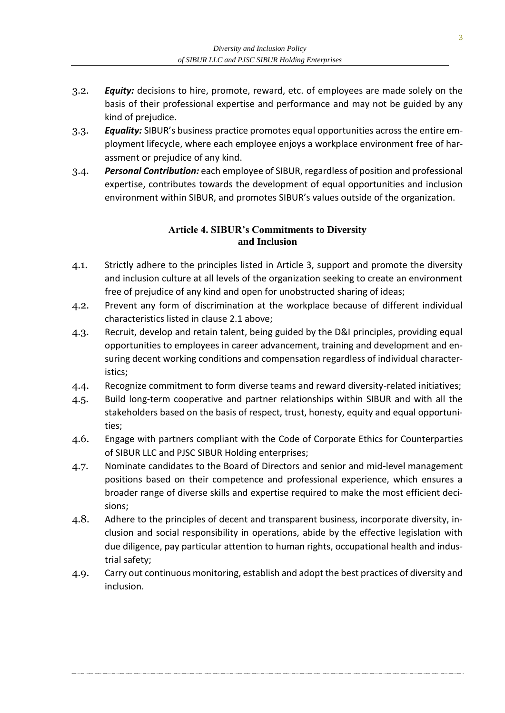- 3.2. *Equity:* decisions to hire, promote, reward, etc. of employees are made solely on the basis of their professional expertise and performance and may not be guided by any kind of prejudice.
- 3.3. *Equality:* SIBUR's business practice promotes equal opportunities across the entire employment lifecycle, where each employee enjoys a workplace environment free of harassment or prejudice of any kind.
- 3.4. *Personal Contribution:* each employee of SIBUR, regardless of position and professional expertise, contributes towards the development of equal opportunities and inclusion environment within SIBUR, and promotes SIBUR's values outside of the organization.

#### **Article 4. SIBUR's Commitments to Diversity and Inclusion**

- 4.1. Strictly adhere to the principles listed in Article 3, support and promote the diversity and inclusion culture at all levels of the organization seeking to create an environment free of prejudice of any kind and open for unobstructed sharing of ideas;
- 4.2. Prevent any form of discrimination at the workplace because of different individual characteristics listed in clause 2.1 above;
- 4.3. Recruit, develop and retain talent, being guided by the D&I principles, providing equal opportunities to employees in career advancement, training and development and ensuring decent working conditions and compensation regardless of individual characteristics;
- 4.4. Recognize commitment to form diverse teams and reward diversity-related initiatives;
- 4.5. Build long-term cooperative and partner relationships within SIBUR and with all the stakeholders based on the basis of respect, trust, honesty, equity and equal opportunities;
- 4.6. Engage with partners compliant with the Code of Corporate Ethics for Counterparties of SIBUR LLC and PJSC SIBUR Holding enterprises;
- 4.7. Nominate candidates to the Board of Directors and senior and mid-level management positions based on their competence and professional experience, which ensures a broader range of diverse skills and expertise required to make the most efficient decisions;
- 4.8. Adhere to the principles of decent and transparent business, incorporate diversity, inclusion and social responsibility in operations, abide by the effective legislation with due diligence, pay particular attention to human rights, occupational health and industrial safety;
- 4.9. Carry out continuous monitoring, establish and adopt the best practices of diversity and inclusion.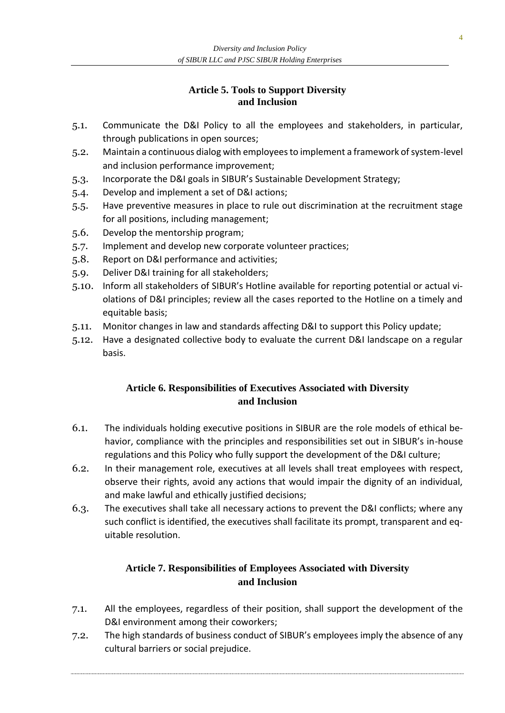### **Article 5. Tools to Support Diversity and Inclusion**

- 5.1. Communicate the D&I Policy to all the employees and stakeholders, in particular, through publications in open sources;
- 5.2. Maintain a continuous dialog with employees to implement a framework of system-level and inclusion performance improvement;
- 5.3. Incorporate the D&I goals in SIBUR's Sustainable Development Strategy;
- 5.4. Develop and implement a set of D&I actions;
- 5.5. Have preventive measures in place to rule out discrimination at the recruitment stage for all positions, including management;
- 5.6. Develop the mentorship program;
- 5.7. Implement and develop new corporate volunteer practices;
- 5.8. Report on D&I performance and activities;
- 5.9. Deliver D&I training for all stakeholders;
- 5.10. Inform all stakeholders of SIBUR's Hotline available for reporting potential or actual violations of D&I principles; review all the cases reported to the Hotline on a timely and equitable basis;
- 5.11. Monitor changes in law and standards affecting D&I to support this Policy update;
- 5.12. Have a designated collective body to evaluate the current D&I landscape on a regular basis.

## **Article 6. Responsibilities of Executives Associated with Diversity and Inclusion**

- 6.1. The individuals holding executive positions in SIBUR are the role models of ethical behavior, compliance with the principles and responsibilities set out in SIBUR's in-house regulations and this Policy who fully support the development of the D&I culture;
- 6.2. In their management role, executives at all levels shall treat employees with respect, observe their rights, avoid any actions that would impair the dignity of an individual, and make lawful and ethically justified decisions;
- 6.3. The executives shall take all necessary actions to prevent the D&I conflicts; where any such conflict is identified, the executives shall facilitate its prompt, transparent and equitable resolution.

## **Article 7. Responsibilities of Employees Associated with Diversity and Inclusion**

- 7.1. All the employees, regardless of their position, shall support the development of the D&I environment among their coworkers;
- 7.2. The high standards of business conduct of SIBUR's employees imply the absence of any cultural barriers or social prejudice.